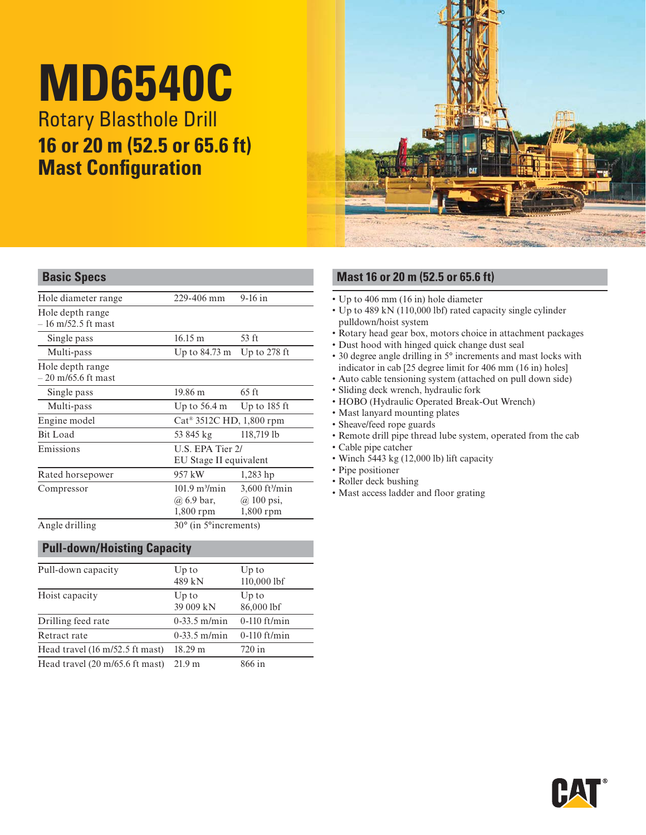# **MD6540C**

**Rotary Blasthole Drill 16 or 20 m (52.5 or 65.6 ft) Mast Configuration** 



| Hole diameter range                      | 229-406 mm                                                  | $9-16$ in                                                     |  |  |
|------------------------------------------|-------------------------------------------------------------|---------------------------------------------------------------|--|--|
| Hole depth range<br>$-16$ m/52.5 ft mast |                                                             |                                                               |  |  |
| Single pass                              | $16.15 \text{ m}$                                           | 53 ft                                                         |  |  |
| Multi-pass                               | Up to 84.73 m                                               | Up to $278$ ft                                                |  |  |
| Hole depth range<br>$-20$ m/65.6 ft mast |                                                             |                                                               |  |  |
| Single pass                              | 19.86 m                                                     | $65 \text{ ft}$                                               |  |  |
| Multi-pass                               | Up to 56.4 m                                                | Up to $185$ ft                                                |  |  |
| Engine model                             |                                                             | $Cat^{\otimes} 3512C$ HD, 1,800 rpm                           |  |  |
| Bit Load                                 | 53 845 kg                                                   | 118,719 lb                                                    |  |  |
| Emissions                                |                                                             | U.S. EPA Tier 2/<br>EU Stage II equivalent                    |  |  |
| Rated horsepower                         | 957 kW                                                      | $1,283$ hp                                                    |  |  |
| Compressor                               | $101.9 \text{ m}^3/\text{min}$<br>@ 6.9 bar,<br>$1,800$ rpm | $3,600$ ft <sup>3</sup> /min<br>$(a)$ 100 psi,<br>$1,800$ rpm |  |  |
| Angle drilling                           | 30° (in 5° increments)                                      |                                                               |  |  |
|                                          |                                                             |                                                               |  |  |

#### **Pull-down/Hoisting Capacity**

| Pull-down capacity                                        | $Up$ to<br>489 kN  | Up to<br>110,000 lbf |
|-----------------------------------------------------------|--------------------|----------------------|
| Hoist capacity                                            | Up to<br>39 009 kN | Up to<br>86,000 lbf  |
| Drilling feed rate                                        | $0-33.5$ m/min     | $0-110$ ft/min       |
| Retract rate                                              | $0-33.5$ m/min     | $0-110$ ft/min       |
| Head travel $(16 \text{ m}/52.5 \text{ ft} \text{ mast})$ | 18.29 m            | $720$ in             |
| Head travel (20 m/65.6 ft mast)                           | 21.9 m             | 866 in               |

#### **Basic Specs Mast 16 or 20 m (52.5 or 65.6 ft)**

- $\cdot$  Up to 406 mm (16 in) hole diameter
- Up to 489 kN (110,000 lbf) rated capacity single cylinder pulldown/hoist system
- Rotary head gear box, motors choice in attachment packages
- 
- Dust hood with hinged quick change dust seal <br>• 30 degree angle drilling in 5° increments and mast locks with indicator in cab  $[25$  degree limit for 406 mm  $(16$  in) holes]
- Auto cable tensioning system (attached on pull down side)
- Sliding deck wrench, hydraulic fork
- HOBO (Hydraulic Operated Break-Out Wrench)
- Mast lanyard mounting plates
- Sheave/feed rope guards
- Remote drill pipe thread lube system, operated from the cab
- Cable pipe catcher
- $\cdot$  Winch 5443 kg (12,000 lb) lift capacity
- Pipe positioner
- Roller deck bushing
- Mast access ladder and floor grating

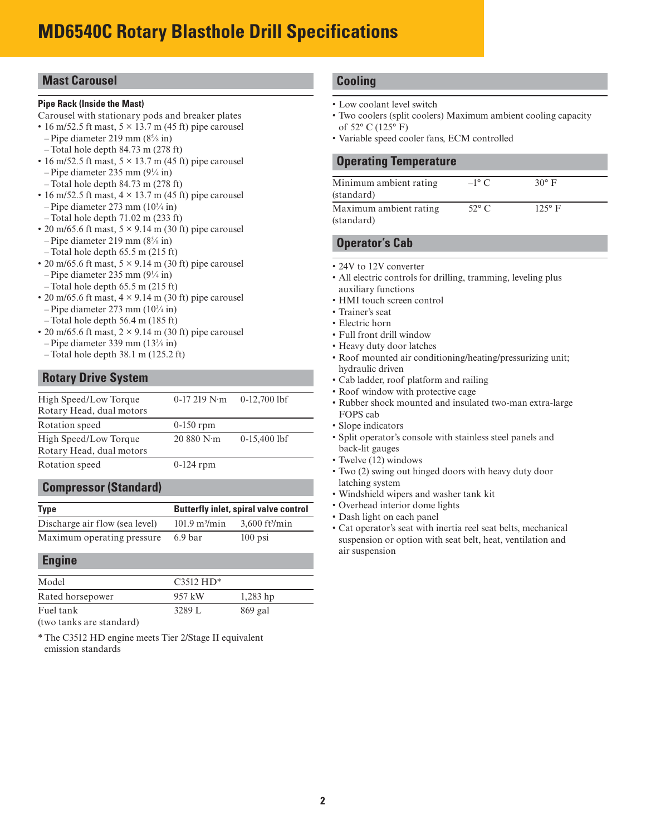#### **Mast Carousel**

#### **Pipe Rack (Inside the Mast)**

- Carousel with stationary pods and breaker plates
- $\cdot$  16 m/52.5 ft mast,  $5 \times 13.7$  m (45 ft) pipe carousel
- $-$ Pipe diameter 219 mm (8<sup>5</sup>/ $\sin$ )
- Total hole depth 84.73 m (278 ft)
- $\cdot$  16 m/52.5 ft mast,  $5 \times 13.7$  m (45 ft) pipe carousel  $-$ Pipe diameter 235 mm (9 $\frac{1}{4}$  in)
- Total hole depth 84.73 m (278 ft)
- $\cdot$  16 m/52.5 ft mast,  $4 \times 13.7$  m (45 ft) pipe carousel  $-$ Pipe diameter 273 mm  $(10<sup>3</sup>/4)$  in
- Total hole depth 71.02 m (233 ft)
- 20 m/65.6 ft mast,  $5 \times 9.14$  m (30 ft) pipe carousel
	- $-$ Pipe diameter 219 mm (8<sup>5</sup>/ $\sin$ )
- $-$ Total hole depth 65.5 m (215 ft)
- 20 m/65.6 ft mast,  $5 \times 9.14$  m (30 ft) pipe carousel  $-$ Pipe diameter 235 mm (9 $\frac{1}{4}$  in)
- $-$ Total hole depth 65.5 m (215 ft)
- 20 m/65.6 ft mast,  $4 \times 9.14$  m (30 ft) pipe carousel
- Pipe diameter 273 mm (103 ⁄4 in) – Total hole depth 56.4 m (185 ft)
- 20 m/65.6 ft mast,  $2 \times 9.14$  m (30 ft) pipe carousel – Pipe diameter 339 mm (133 ⁄8 in)
- $-$ Total hole depth 38.1 m (125.2 ft)

#### **Rotary Drive System**

| High Speed/Low Torque<br>Rotary Head, dual motors | $0-17219$ N $\cdot$ m | $0-12,700$ lbf |
|---------------------------------------------------|-----------------------|----------------|
|                                                   |                       |                |
| Rotation speed                                    | $0-150$ rpm           |                |
| High Speed/Low Torque<br>Rotary Head, dual motors | 20880 N·m             | $0-15,400$ lbf |
| Rotation speed                                    | $0-124$ rpm           |                |

#### **Compressor (Standard)**

| Type                           | <b>Butterfly inlet, spiral valve control</b> |                              |  |  |
|--------------------------------|----------------------------------------------|------------------------------|--|--|
| Discharge air flow (sea level) | $101.9 \text{ m}^3/\text{min}$               | $3,600$ ft <sup>3</sup> /min |  |  |
| Maximum operating pressure     | 6.9 <sub>bar</sub>                           | $100$ psi                    |  |  |

#### **Engine**

| Model                               | $C3512 H D*$ |            |
|-------------------------------------|--------------|------------|
| Rated horsepower                    | 957 kW       | $1,283$ hp |
| Fuel tank                           | 3289 L       | $869$ gal  |
| المسملة ومملو وورو وبالموملا ويبينه |              |            |

(two tanks are standard)

\* The C3512 HD engine meets Tier 2/Stage II equivalent emission standards

#### **Cooling**

- Low coolant level switch
- Two coolers (split coolers) Maximum ambient cooling capacity of 52° C (125° F)
- Variable speed cooler fans, ECM controlled

#### **Operating Temperature**

| Minimum ambient rating<br>(standard) | $-1^\circ$ C   | $30^\circ$ F  |  |
|--------------------------------------|----------------|---------------|--|
| Maximum ambient rating<br>(standard) | $52^{\circ}$ C | $125^\circ$ F |  |

#### **Operator's Cab**

- 24V to 12V converter
- All electric controls for drilling, tramming, leveling plus auxiliary functions
- HMI touch screen control
- Trainer's seat
- Electric horn
- Full front drill window
- Heavy duty door latches
- Roof mounted air conditioning/heating/pressurizing unit; hydraulic driven
- Cab ladder, roof platform and railing
- Roof window with protective cage
- Rubber shock mounted and insulated two-man extra-large FOPS cab
- Slope indicators
- Split operator's console with stainless steel panels and back-lit gauges
- Twelve (12) windows
- Two (2) swing out hinged doors with heavy duty door latching system
- Windshield wipers and washer tank kit
- Overhead interior dome lights
- Dash light on each panel
- Cat operator's seat with inertia reel seat belts, mechanical suspension or option with seat belt, heat, ventilation and air suspension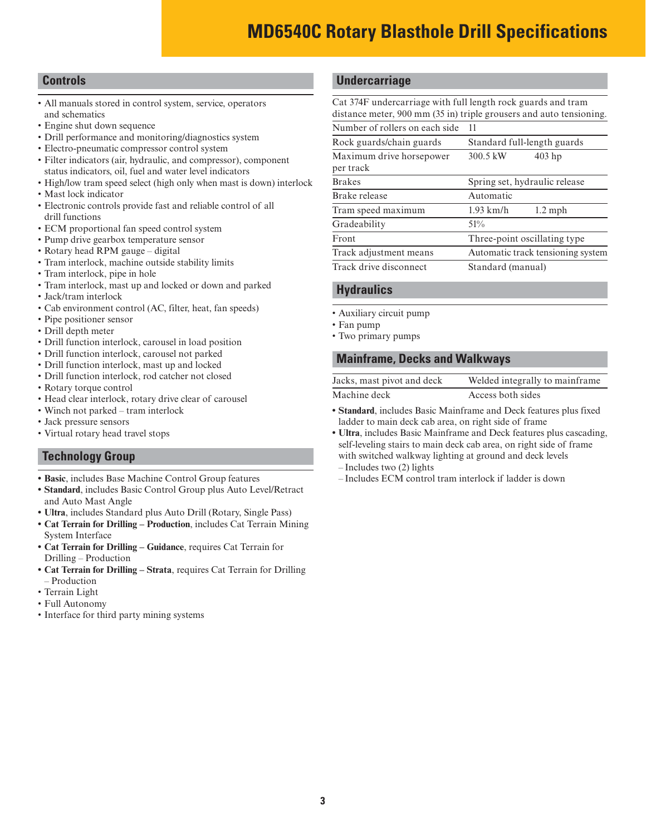#### **Controls**

- All manuals stored in control system, service, operators and schematics
- Engine shut down sequence
- Drill performance and monitoring/diagnostics system
- Electro-pneumatic compressor control system
- Filter indicators (air, hydraulic, and compressor), component status indicators, oil, fuel and water level indicators
- High/low tram speed select (high only when mast is down) interlock
- Mast lock indicator
- Electronic controls provide fast and reliable control of all drill functions
- ECM proportional fan speed control system
- Pump drive gearbox temperature sensor
- Rotary head RPM gauge digital
- Tram interlock, machine outside stability limits
- Tram interlock, pipe in hole
- Tram interlock, mast up and locked or down and parked
- Jack/tram interlock
- Cab environment control (AC, filter, heat, fan speeds)
- Pipe positioner sensor
- Drill depth meter
- Drill function interlock, carousel in load position
- Drill function interlock, carousel not parked
- Drill function interlock, mast up and locked
- Drill function interlock, rod catcher not closed
- Rotary torque control
- Head clear interlock, rotary drive clear of carousel
- Winch not parked tram interlock
- Jack pressure sensors
- Virtual rotary head travel stops

#### **Technology Group**

- **Basic**, includes Base Machine Control Group features
- **Standard**, includes Basic Control Group plus Auto Level/Retract and Auto Mast Angle
- **Ultra**, includes Standard plus Auto Drill (Rotary, Single Pass)
- **Cat Terrain for Drilling Production**, includes Cat Terrain Mining System Interface
- **Cat Terrain for Drilling Guidance**, requires Cat Terrain for Drilling – Production
- **Cat Terrain for Drilling Strata**, requires Cat Terrain for Drilling – Production
- Terrain Light
- Full Autonomy
- Interface for third party mining systems

#### **Undercarriage**

Cat 374F undercarriage with full length rock guards and tram distance meter, 900 mm (35 in) triple grousers and auto tensioning. Number of rollers on each side 11

| <b>NUMBER OF LONGLY ON EACH SIDE</b>  | . .                               |  |  |
|---------------------------------------|-----------------------------------|--|--|
| Rock guards/chain guards              | Standard full-length guards       |  |  |
| Maximum drive horsepower<br>per track | 300.5 kW<br>$403$ hp              |  |  |
| <b>Brakes</b>                         | Spring set, hydraulic release     |  |  |
| Brake release                         | Automatic                         |  |  |
| Tram speed maximum                    | $1.93$ km/h<br>$1.2 \text{ mph}$  |  |  |
| Gradeability                          | 51%                               |  |  |
| Front                                 | Three-point oscillating type      |  |  |
| Track adjustment means                | Automatic track tensioning system |  |  |
| Track drive disconnect                | Standard (manual)                 |  |  |
|                                       |                                   |  |  |

#### **Hydraulics**

- Auxiliary circuit pump
- Fan pump
- Two primary pumps

#### **Mainframe, Decks and Walkways**

| Jacks, mast pivot and deck | Welded integrally to mainframe |
|----------------------------|--------------------------------|
| Machine deck               | Access both sides              |

- **Standard**, includes Basic Mainframe and Deck features plus fixed ladder to main deck cab area, on right side of frame
- **Ultra**, includes Basic Mainframe and Deck features plus cascading, self-leveling stairs to main deck cab area, on right side of frame with switched walkway lighting at ground and deck levels – Includes two (2) lights
- Includes ECM control tram interlock if ladder is down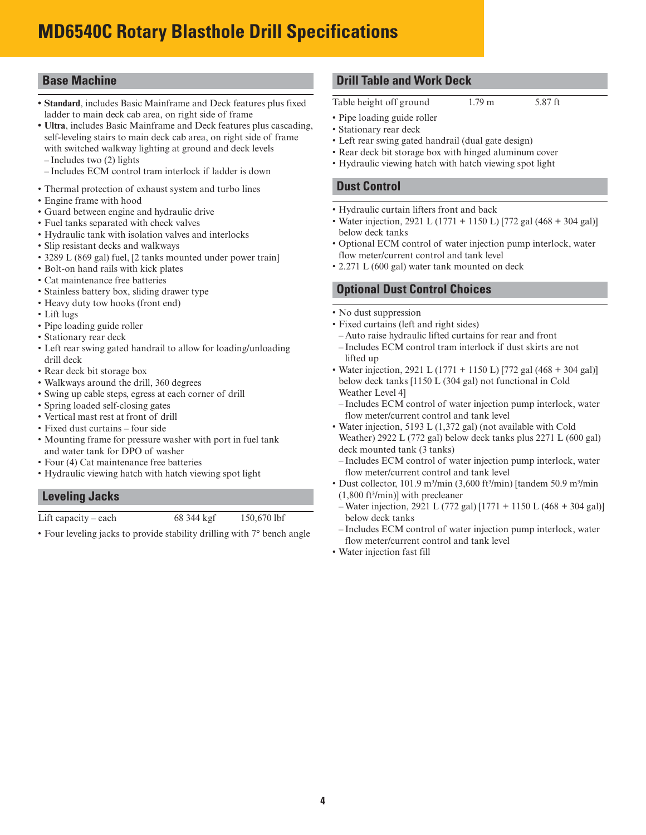## **MD6540C Rotary Blasthole Drill Specifications**

#### **Base Machine**

- **Standard**, includes Basic Mainframe and Deck features plus fixed ladder to main deck cab area, on right side of frame
- **Ultra**, includes Basic Mainframe and Deck features plus cascading, self-leveling stairs to main deck cab area, on right side of frame with switched walkway lighting at ground and deck levels
- Includes two (2) lights
- Includes ECM control tram interlock if ladder is down
- Thermal protection of exhaust system and turbo lines
- Engine frame with hood
- Guard between engine and hydraulic drive
- Fuel tanks separated with check valves
- Hydraulic tank with isolation valves and interlocks
- Slip resistant decks and walkways
- 3289 L (869 gal) fuel, [2 tanks mounted under power train]
- Bolt-on hand rails with kick plates
- Cat maintenance free batteries
- Stainless battery box, sliding drawer type
- Heavy duty tow hooks (front end)
- Lift lugs
- Pipe loading guide roller
- Stationary rear deck
- Left rear swing gated handrail to allow for loading/unloading drill deck
- Rear deck bit storage box
- Walkways around the drill, 360 degrees
- Swing up cable steps, egress at each corner of drill
- Spring loaded self-closing gates
- Vertical mast rest at front of drill
- Fixed dust curtains four side
- Mounting frame for pressure washer with port in fuel tank and water tank for DPO of washer
- Four (4) Cat maintenance free batteries
- Hydraulic viewing hatch with hatch viewing spot light

#### **Leveling Jacks**

Lift capacity – each  $68\frac{344 \text{ kgf}}{150,670 \text{ lbf}}$ 

• Four leveling jacks to provide stability drilling with 7° bench angle

#### **Drill Table and Work Deck**

Table height off ground 1.79 m 5.87 ft

- Pipe loading guide roller
- Stationary rear deck • Left rear swing gated handrail (dual gate design)
- Rear deck bit storage box with hinged aluminum cover
- Hydraulic viewing hatch with hatch viewing spot light
- 

#### **Dust Control**

- Hydraulic curtain lifters front and back
- Water injection, 2921 L (1771 + 1150 L) [772 gal (468 + 304 gal)] below deck tanks
- Optional ECM control of water injection pump interlock, water flow meter/current control and tank level
- 2.271 L (600 gal) water tank mounted on deck

#### **Optional Dust Control Choices**

- No dust suppression
- Fixed curtains (left and right sides)
- Auto raise hydraulic lifted curtains for rear and front – Includes ECM control tram interlock if dust skirts are not lifted up
- Water injection, 2921 L (1771 + 1150 L) [772 gal (468 + 304 gal)] below deck tanks [1150 L (304 gal) not functional in Cold Weather Level 4]
- Includes ECM control of water injection pump interlock, water flow meter/current control and tank level
- Water injection, 5193 L (1,372 gal) (not available with Cold Weather) 2922 L (772 gal) below deck tanks plus 2271 L (600 gal) deck mounted tank (3 tanks)
- Includes ECM control of water injection pump interlock, water flow meter/current control and tank level
- Dust collector, 101.9 m<sup>3</sup>/min (3,600 ft<sup>3</sup>/min) [tandem 50.9 m<sup>3</sup>/min  $(1,800 \text{ ft}^3/\text{min})$ ] with precleaner
- Water injection, 2921 L (772 gal) [1771 + 1150 L (468 + 304 gal)] below deck tanks
- Includes ECM control of water injection pump interlock, water flow meter/current control and tank level
- Water injection fast fill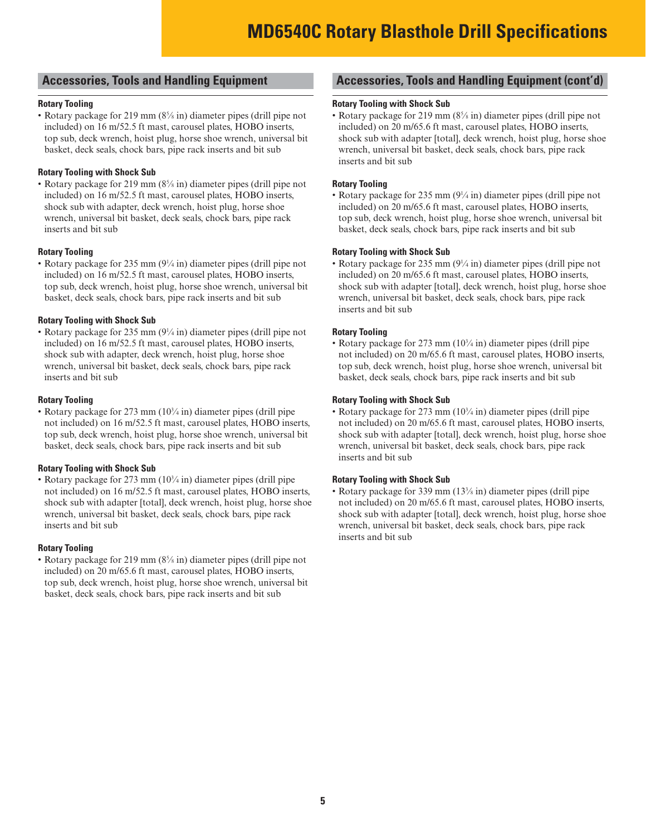#### **Accessories, Tools and Handling Equipment**

#### **Rotary Tooling**

• Rotary package for 219 mm (8<sup>5</sup>/<sub>8</sub> in) diameter pipes (drill pipe not included) on 16 m/52.5 ft mast, carousel plates, HOBO inserts, top sub, deck wrench, hoist plug, horse shoe wrench, universal bit basket, deck seals, chock bars, pipe rack inserts and bit sub

#### **Rotary Tooling with Shock Sub**

• Rotary package for 219 mm (8<sup>5</sup>/<sub>8</sub> in) diameter pipes (drill pipe not included) on 16 m/52.5 ft mast, carousel plates, HOBO inserts, shock sub with adapter, deck wrench, hoist plug, horse shoe wrench, universal bit basket, deck seals, chock bars, pipe rack inserts and bit sub

#### **Rotary Tooling**

• Rotary package for 235 mm  $(9\frac{1}{4}$  in) diameter pipes (drill pipe not included) on 16 m/52.5 ft mast, carousel plates, HOBO inserts, top sub, deck wrench, hoist plug, horse shoe wrench, universal bit basket, deck seals, chock bars, pipe rack inserts and bit sub

#### **Rotary Tooling with Shock Sub**

• Rotary package for 235 mm  $(9\frac{1}{4}$  in) diameter pipes (drill pipe not included) on 16 m/52.5 ft mast, carousel plates, HOBO inserts, shock sub with adapter, deck wrench, hoist plug, horse shoe wrench, universal bit basket, deck seals, chock bars, pipe rack inserts and bit sub

#### **Rotary Tooling**

• Rotary package for 273 mm (10<sup>3</sup>/4 in) diameter pipes (drill pipe not included) on 16 m/52.5 ft mast, carousel plates, HOBO inserts, top sub, deck wrench, hoist plug, horse shoe wrench, universal bit basket, deck seals, chock bars, pipe rack inserts and bit sub

#### **Rotary Tooling with Shock Sub**

• Rotary package for 273 mm (10<sup>3</sup>/4 in) diameter pipes (drill pipe not included) on 16 m/52.5 ft mast, carousel plates, HOBO inserts, shock sub with adapter [total], deck wrench, hoist plug, horse shoe wrench, universal bit basket, deck seals, chock bars, pipe rack inserts and bit sub

#### **Rotary Tooling**

• Rotary package for 219 mm (8<sup>5</sup>/<sub>8</sub> in) diameter pipes (drill pipe not included) on 20 m/65.6 ft mast, carousel plates, HOBO inserts, top sub, deck wrench, hoist plug, horse shoe wrench, universal bit basket, deck seals, chock bars, pipe rack inserts and bit sub

#### **Accessories, Tools and Handling Equipment (cont'd)**

#### **Rotary Tooling with Shock Sub**

• Rotary package for 219 mm (8<sup>5</sup>/<sub>8</sub> in) diameter pipes (drill pipe not included) on 20 m/65.6 ft mast, carousel plates, HOBO inserts, shock sub with adapter [total], deck wrench, hoist plug, horse shoe wrench, universal bit basket, deck seals, chock bars, pipe rack inserts and bit sub

#### **Rotary Tooling**

• Rotary package for 235 mm (9¼ in) diameter pipes (drill pipe not included) on 20 m/65.6 ft mast, carousel plates, HOBO inserts, top sub, deck wrench, hoist plug, horse shoe wrench, universal bit basket, deck seals, chock bars, pipe rack inserts and bit sub

#### **Rotary Tooling with Shock Sub**

• Rotary package for 235 mm  $(9\frac{1}{4}$  in) diameter pipes (drill pipe not included) on 20 m/65.6 ft mast, carousel plates, HOBO inserts, shock sub with adapter [total], deck wrench, hoist plug, horse shoe wrench, universal bit basket, deck seals, chock bars, pipe rack inserts and bit sub

#### **Rotary Tooling**

• Rotary package for 273 mm (10<sup>3</sup>/4 in) diameter pipes (drill pipe not included) on 20 m/65.6 ft mast, carousel plates, HOBO inserts, top sub, deck wrench, hoist plug, horse shoe wrench, universal bit basket, deck seals, chock bars, pipe rack inserts and bit sub

#### **Rotary Tooling with Shock Sub**

• Rotary package for 273 mm (10<sup>3</sup>/4 in) diameter pipes (drill pipe not included) on 20 m/65.6 ft mast, carousel plates, HOBO inserts, shock sub with adapter [total], deck wrench, hoist plug, horse shoe wrench, universal bit basket, deck seals, chock bars, pipe rack inserts and bit sub

#### **Rotary Tooling with Shock Sub**

• Rotary package for 339 mm (13<sup>3</sup>/<sub>8</sub> in) diameter pipes (drill pipe not included) on 20 m/65.6 ft mast, carousel plates, HOBO inserts, shock sub with adapter [total], deck wrench, hoist plug, horse shoe wrench, universal bit basket, deck seals, chock bars, pipe rack inserts and bit sub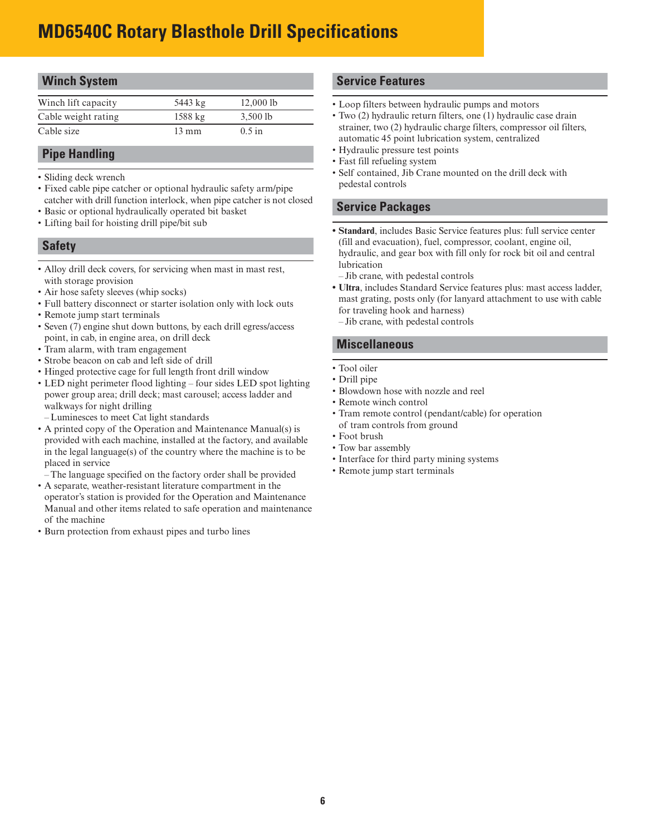## **MD6540C Rotary Blasthole Drill Specifications**

| <b>Winch System</b> |                   |            |  |
|---------------------|-------------------|------------|--|
| Winch lift capacity | 5443 kg           | 12,0001b   |  |
| Cable weight rating | $1588 \text{ kg}$ | $3,500$ lb |  |
| Cable size          | $13 \text{ mm}$   | $0.5$ in   |  |

#### **Pipe Handling**

- Sliding deck wrench
- Fixed cable pipe catcher or optional hydraulic safety arm/pipe catcher with drill function interlock, when pipe catcher is not closed
- Basic or optional hydraulically operated bit basket
- Lifting bail for hoisting drill pipe/bit sub

#### **Safety**

- Alloy drill deck covers, for servicing when mast in mast rest, with storage provision
- Air hose safety sleeves (whip socks)
- Full battery disconnect or starter isolation only with lock outs
- Remote jump start terminals
- Seven (7) engine shut down buttons, by each drill egress/access point, in cab, in engine area, on drill deck
- Tram alarm, with tram engagement
- Strobe beacon on cab and left side of drill
- Hinged protective cage for full length front drill window
- LED night perimeter flood lighting four sides LED spot lighting power group area; drill deck; mast carousel; access ladder and walkways for night drilling
- Luminesces to meet Cat light standards
- A printed copy of the Operation and Maintenance Manual(s) is provided with each machine, installed at the factory, and available in the legal language(s) of the country where the machine is to be placed in service
- The language specified on the factory order shall be provided
- A separate, weather-resistant literature compartment in the operator's station is provided for the Operation and Maintenance Manual and other items related to safe operation and maintenance of the machine
- Burn protection from exhaust pipes and turbo lines

#### **Service Features**

- Loop filters between hydraulic pumps and motors
- Two (2) hydraulic return filters, one (1) hydraulic case drain strainer, two (2) hydraulic charge filters, compressor oil filters, automatic 45 point lubrication system, centralized
- Hydraulic pressure test points
- Fast fill refueling system
- Self contained, Jib Crane mounted on the drill deck with pedestal controls

#### **Service Packages**

- **Standard**, includes Basic Service features plus: full service center (fill and evacuation), fuel, compressor, coolant, engine oil, hydraulic, and gear box with fill only for rock bit oil and central lubrication
- Jib crane, with pedestal controls
- **Ultra**, includes Standard Service features plus: mast access ladder, mast grating, posts only (for lanyard attachment to use with cable for traveling hook and harness)
- Jib crane, with pedestal controls

#### **Miscellaneous**

- Tool oiler
- Drill pipe
- Blowdown hose with nozzle and reel
- Remote winch control
- Tram remote control (pendant/cable) for operation of tram controls from ground
- Foot brush
- Tow bar assembly
- Interface for third party mining systems
- Remote jump start terminals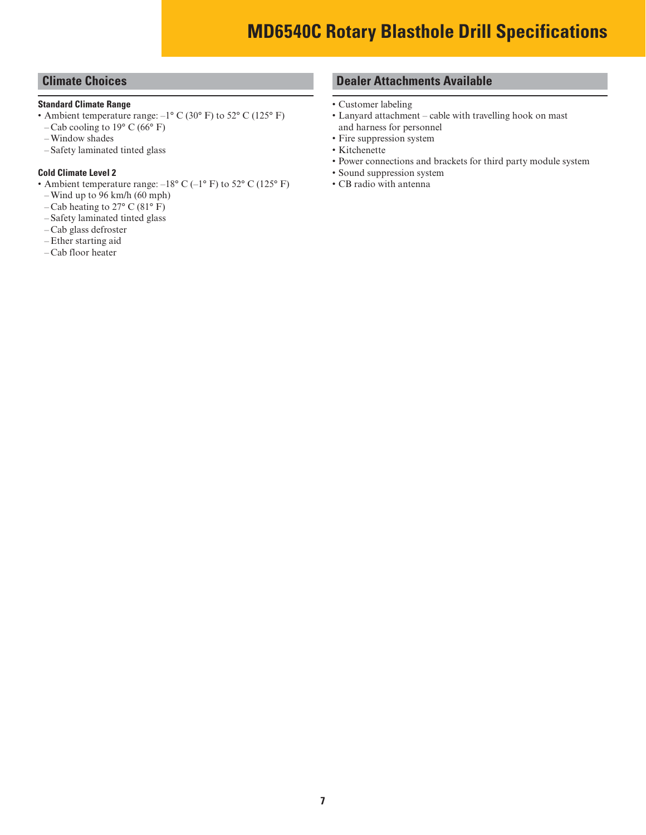#### **Climate Choices**

#### **Standard Climate Range**

- Ambient temperature range:  $-1^{\circ}$  C (30° F) to 52° C (125° F)
- Cab cooling to  $19^{\circ}$  C (66 $^{\circ}$  F)
- Window shades
- Safety laminated tinted glass

#### **Cold Climate Level 2**

- Ambient temperature range:  $-18^{\circ}$  C ( $-1^{\circ}$  F) to 52° C (125° F)
- Wind up to 96 km/h (60 mph)
- Cab heating to 27° C (81° F)
- Safety laminated tinted glass
- Cab glass defroster
- Ether starting aid
- Cab floor heater

#### **Dealer Attachments Available**

- Customer labeling
- Lanyard attachment cable with travelling hook on mast and harness for personnel
- Fire suppression system
- Kitchenette
- Power connections and brackets for third party module system
- Sound suppression system
- CB radio with antenna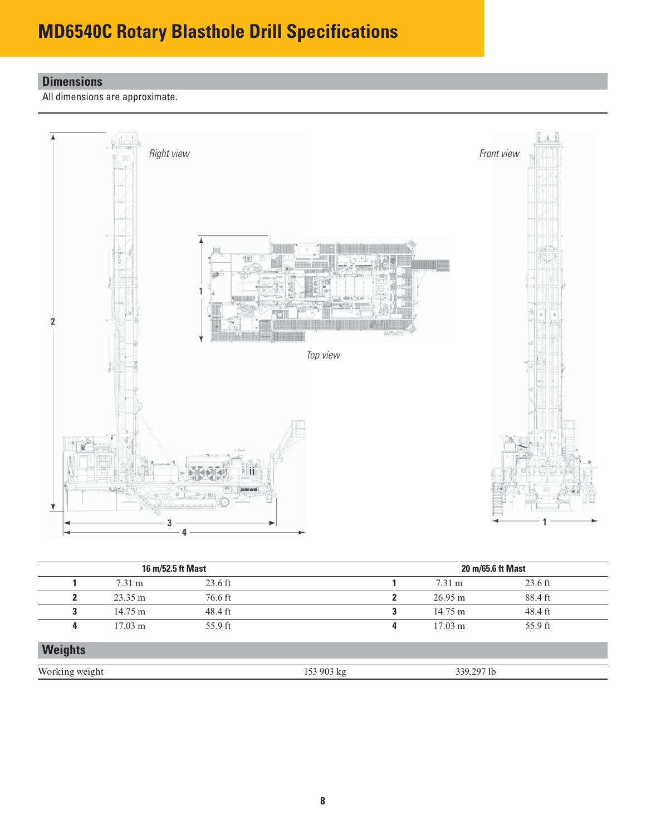## **MD6540C Rotary Blasthole Drill Specifications**

### **Dimensions**

All dimensions are approximate.



| 16 m/52.5 ft Mast |                   |           | 20 m/65.6 ft Mast |   |                   |           |  |
|-------------------|-------------------|-----------|-------------------|---|-------------------|-----------|--|
|                   | $7.31 \text{ m}$  | $23.6$ ft |                   |   | $7.31 \text{ m}$  | $23.6$ ft |  |
|                   | $23.35 \text{ m}$ | 76.6 ft   |                   |   | $26.95 \text{ m}$ | 88.4 ft   |  |
| 3                 | $14.75 \text{ m}$ | 48.4 ft   |                   | 3 | $14.75 \text{ m}$ | 48.4 ft   |  |
| 4                 | $17.03 \text{ m}$ | 55.9 ft   |                   | 4 | $17.03 \text{ m}$ | 55.9 ft   |  |
| <b>Weights</b>    |                   |           |                   |   |                   |           |  |
| Working weight    |                   |           | 153 903 kg        |   | 339,297 lb        |           |  |
|                   |                   |           |                   |   |                   |           |  |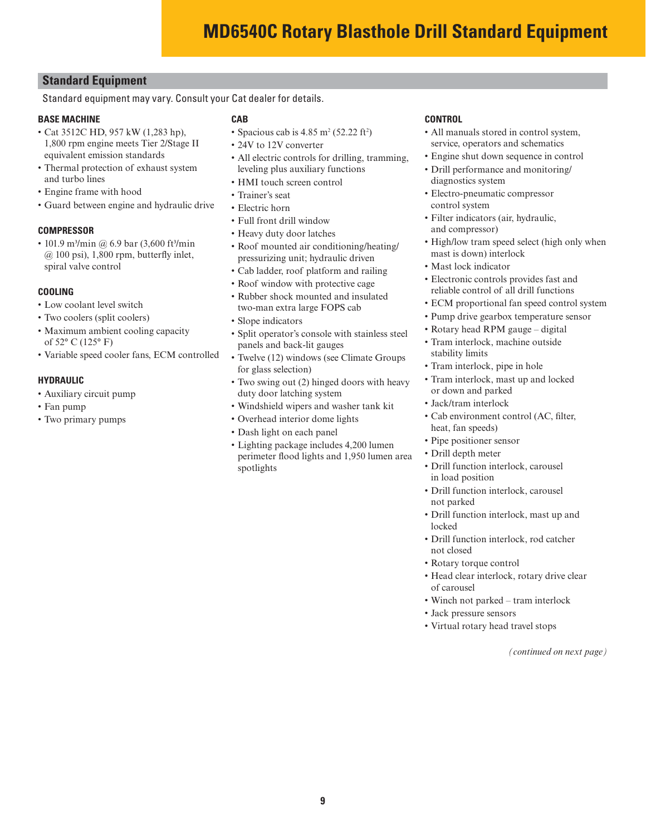#### **Standard Equipment**

Standard equipment may vary. Consult your Cat dealer for details.

#### **BASE MACHINE**

- Cat 3512C HD, 957 kW (1,283 hp), 1,800 rpm engine meets Tier 2/Stage II equivalent emission standards
- Thermal protection of exhaust system and turbo lines
- Engine frame with hood
- Guard between engine and hydraulic drive

#### **COMPRESSOR**

• 101.9 m3/min @ 6.9 bar (3,600 ft3/min  $@ 100$  psi), 1,800 rpm, butterfly inlet, spiral valve control

#### **COOLING**

- Low coolant level switch
- Two coolers (split coolers)
- Maximum ambient cooling capacity of 52° C (125° F)
- Variable speed cooler fans, ECM controlled

#### **HYDRAULIC**

- Auxiliary circuit pump
- Fan pump
- Two primary pumps

#### **CAB**

- Spacious cab is  $4.85 \text{ m}^2 (52.22 \text{ ft}^2)$
- 24V to 12V converter
- All electric controls for drilling, tramming, leveling plus auxiliary functions
- HMI touch screen control
- Trainer's seat
- Electric horn
- Full front drill window
- Heavy duty door latches
- Roof mounted air conditioning/heating/ pressurizing unit; hydraulic driven
- Cab ladder, roof platform and railing
- Roof window with protective cage
- Rubber shock mounted and insulated two-man extra large FOPS cab
- Slope indicators
- Split operator's console with stainless steel panels and back-lit gauges
- Twelve (12) windows (see Climate Groups for glass selection)
- Two swing out (2) hinged doors with heavy duty door latching system
- Windshield wipers and washer tank kit
- Overhead interior dome lights
- Dash light on each panel
- Lighting package includes 4,200 lumen perimeter flood lights and 1,950 lumen area spotlights

#### **CONTROL**

- All manuals stored in control system, service, operators and schematics
- Engine shut down sequence in control
- Drill performance and monitoring/ diagnostics system
- Electro-pneumatic compressor control system
- Filter indicators (air, hydraulic, and compressor)
- High/low tram speed select (high only when mast is down) interlock
- Mast lock indicator
- Electronic controls provides fast and reliable control of all drill functions
- ECM proportional fan speed control system
- Pump drive gearbox temperature sensor
- Rotary head RPM gauge digital
- Tram interlock, machine outside stability limits
- Tram interlock, pipe in hole
- Tram interlock, mast up and locked or down and parked
- Jack/tram interlock
- Cab environment control (AC, filter, heat, fan speeds)
- Pipe positioner sensor
- Drill depth meter
- Drill function interlock, carousel in load position
- Drill function interlock, carousel not parked
- Drill function interlock, mast up and locked
- Drill function interlock, rod catcher not closed
- Rotary torque control
- Head clear interlock, rotary drive clear of carousel
- Winch not parked tram interlock
- Jack pressure sensors
- Virtual rotary head travel stops

*(continued on next page)*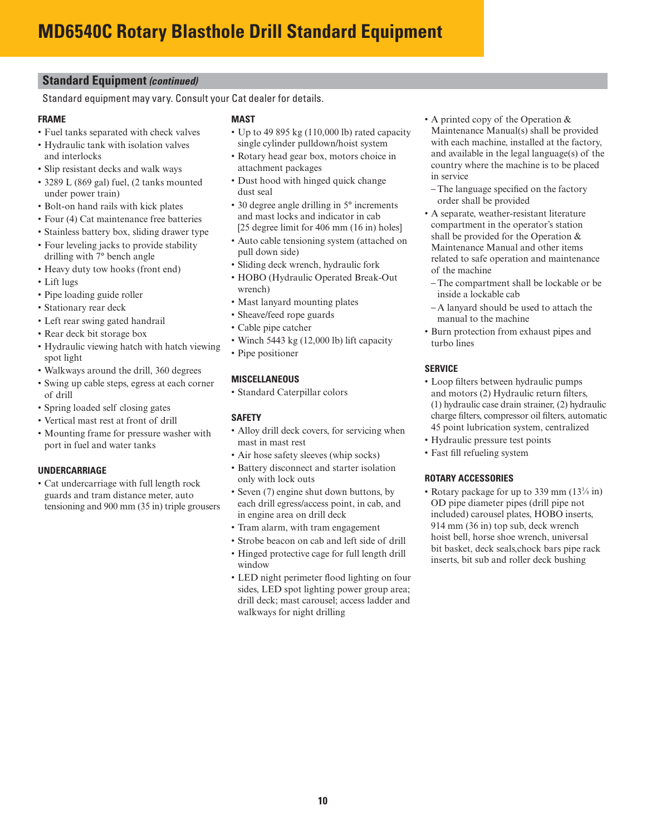#### **Standard Equipment** *(continued)*

Standard equipment may vary. Consult your Cat dealer for details.

#### **FRAME**

- Fuel tanks separated with check valves
- Hydraulic tank with isolation valves and interlocks
- Slip resistant decks and walk ways
- 3289 L (869 gal) fuel, (2 tanks mounted under power train)
- Bolt-on hand rails with kick plates
- Four (4) Cat maintenance free batteries
- Stainless battery box, sliding drawer type
- Four leveling jacks to provide stability drilling with 7° bench angle
- Heavy duty tow hooks (front end)
- Lift lugs
- Pipe loading guide roller
- Stationary rear deck
- Left rear swing gated handrail
- Rear deck bit storage box
- Hydraulic viewing hatch with hatch viewing spot light
- Walkways around the drill, 360 degrees
- Swing up cable steps, egress at each corner of drill
- Spring loaded self closing gates
- Vertical mast rest at front of drill
- Mounting frame for pressure washer with port in fuel and water tanks

#### **UNDERCARRIAGE**

• Cat undercarriage with full length rock guards and tram distance meter, auto tensioning and 900 mm (35 in) triple grousers

#### **MAST**

- Up to 49 895 kg (110,000 lb) rated capacity single cylinder pulldown/hoist system
- Rotary head gear box, motors choice in attachment packages
- Dust hood with hinged quick change dust seal
- 30 degree angle drilling in 5° increments and mast locks and indicator in cab [25 degree limit for 406 mm (16 in) holes]
- Auto cable tensioning system (attached on
- pull down side)
- Sliding deck wrench, hydraulic fork • HOBO (Hydraulic Operated Break-Out
- wrench)
- Mast lanyard mounting plates
- Sheave/feed rope guards
- Cable pipe catcher
- Winch 5443 kg (12,000 lb) lift capacity
- Pipe positioner

#### **MISCELLANEOUS**

• Standard Caterpillar colors

#### **SAFETY**

- Alloy drill deck covers, for servicing when mast in mast rest
- Air hose safety sleeves (whip socks)
- Battery disconnect and starter isolation only with lock outs
- Seven (7) engine shut down buttons, by each drill egress/access point, in cab, and in engine area on drill deck
- Tram alarm, with tram engagement
- Strobe beacon on cab and left side of drill
- Hinged protective cage for full length drill window
- LED night perimeter flood lighting on four sides, LED spot lighting power group area; drill deck; mast carousel; access ladder and walkways for night drilling
- A printed copy of the Operation & Maintenance Manual(s) shall be provided with each machine, installed at the factory, and available in the legal language(s) of the country where the machine is to be placed in service
- The language specified on the factory order shall be provided
- A separate, weather-resistant literature compartment in the operator's station shall be provided for the Operation & Maintenance Manual and other items related to safe operation and maintenance of the machine
- The compartment shall be lockable or be inside a lockable cab
- A lanyard should be used to attach the manual to the machine
- Burn protection from exhaust pipes and turbo lines

#### **SERVICE**

- Loop filters between hydraulic pumps and motors (2) Hydraulic return filters, (1) hydraulic case drain strainer, (2) hydraulic charge filters, compressor oil filters, automatic 45 point lubrication system, centralized
- Hydraulic pressure test points
- Fast fill refueling system

#### **ROTARY ACCESSORIES**

• Rotary package for up to 339 mm (133 ∕8 in) OD pipe diameter pipes (drill pipe not included) carousel plates, HOBO inserts, 914 mm (36 in) top sub, deck wrench hoist bell, horse shoe wrench, universal bit basket, deck seals,chock bars pipe rack inserts, bit sub and roller deck bushing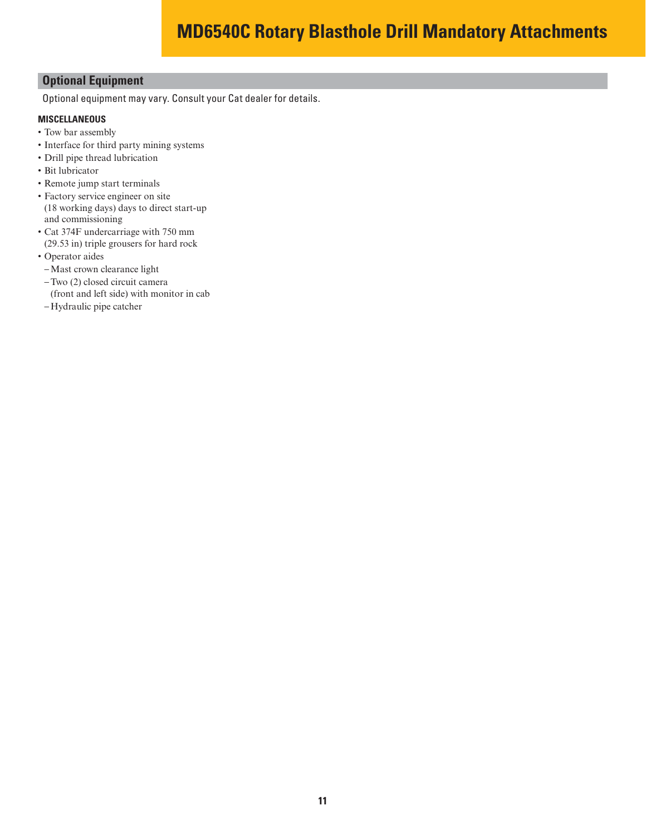#### **Optional Equipment**

Optional equipment may vary. Consult your Cat dealer for details.

#### **MISCELLANEOUS**

- Tow bar assembly
- Interface for third party mining systems
- Drill pipe thread lubrication
- Bit lubricator
- Remote jump start terminals
- Factory service engineer on site (18 working days) days to direct start-up and commissioning
- Cat 374F undercarriage with 750 mm (29.53 in) triple grousers for hard rock
- Operator aides
- Mast crown clearance light
- Two (2) closed circuit camera
- (front and left side) with monitor in cab
- Hydraulic pipe catcher